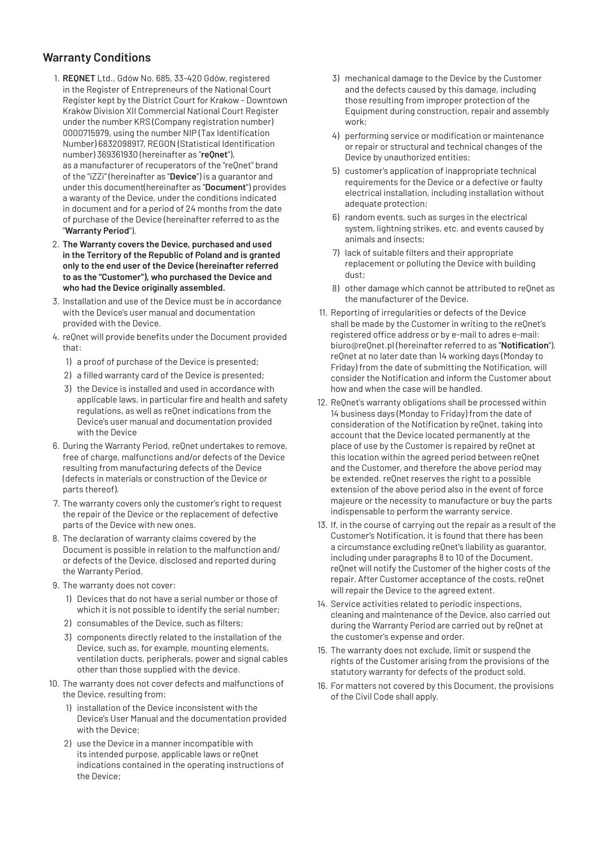## **Warranty Conditions**

- 1. **REQNET** Ltd., Gdów No. 685, 33-420 Gdów, registered in the Register of Entrepreneurs of the National Court Register kept by the District Court for Krakow - Downtown Kraków Division XII Commercial National Court Register under the number KRS (Company registration number) 0000715979, using the number NIP (Tax Identification Number) 6832098917, REGON (Statistical Identification number) 369361930 (hereinafter as "**reQnet**"), as a manufacturer of recuperators of the "reQnet" brand of the "iZZi" (hereinafter as "**Device**") is a guarantor and under this document(hereinafter as "**Document**") provides a waranty of the Device, under the conditions indicated in document and for a period of 24 months from the date of purchase of the Device (hereinafter referred to as the "**Warranty Period**").
- 2. **The Warranty covers the Device, purchased and used in the Territory of the Republic of Poland and is granted only to the end user of the Device (hereinafter referred to as the "Customer"), who purchased the Device and who had the Device originally assembled.**
- 3. Installation and use of the Device must be in accordance with the Device's user manual and documentation provided with the Device.
- 4. reQnet will provide benefits under the Document provided that:
	- 1) a proof of purchase of the Device is presented;
	- 2) a filled warranty card of the Device is presented;
	- 3) the Device is installed and used in accordance with applicable laws, in particular fire and health and safety regulations, as well as reQnet indications from the Device's user manual and documentation provided with the Device
- 6. During the Warranty Period, reQnet undertakes to remove, free of charge, malfunctions and/or defects of the Device resulting from manufacturing defects of the Device (defects in materials or construction of the Device or parts thereof).
- 7. The warranty covers only the customer's right to request the repair of the Device or the replacement of defective parts of the Device with new ones.
- 8. The declaration of warranty claims covered by the Document is possible in relation to the malfunction and/ or defects of the Device, disclosed and reported during the Warranty Period.
- 9. The warranty does not cover:
	- 1) Devices that do not have a serial number or those of which it is not possible to identify the serial number;
	- 2) consumables of the Device, such as filters;
	- 3) components directly related to the installation of the Device, such as, for example, mounting elements, ventilation ducts, peripherals, power and signal cables other than those supplied with the device.
- 10. The warranty does not cover defects and malfunctions of the Device, resulting from:
	- 1) installation of the Device inconsistent with the Device's User Manual and the documentation provided with the Device;
	- 2) use the Device in a manner incompatible with its intended purpose, applicable laws or reQnet indications contained in the operating instructions of the Device;
- 3) mechanical damage to the Device by the Customer and the defects caused by this damage, including those resulting from improper protection of the Equipment during construction, repair and assembly work;
- 4) performing service or modification or maintenance or repair or structural and technical changes of the Device by unauthorized entities;
- 5) customer's application of inappropriate technical requirements for the Device or a defective or faulty electrical installation, including installation without adequate protection;
- 6) random events, such as surges in the electrical system, lightning strikes, etc. and events caused by animals and insects;
- 7) lack of suitable filters and their appropriate replacement or polluting the Device with building dust;
- 8) other damage which cannot be attributed to reQnet as the manufacturer of the Device.
- 11. Reporting of irregularities or defects of the Device shall be made by the Customer in writing to the reQnet's registered office address or by e-mail to adres e-mail: biuro@reQnet.pl (hereinafter referred to as "**Notification**"). reQnet at no later date than 14 working days (Monday to Friday) from the date of submitting the Notification, will consider the Notification and inform the Customer about how and when the case will be handled.
- 12. ReQnet's warranty obligations shall be processed within 14 business days (Monday to Friday) from the date of consideration of the Notification by reQnet, taking into account that the Device located permanently at the place of use by the Customer is repaired by reQnet at this location within the agreed period between reQnet and the Customer, and therefore the above period may be extended. reQnet reserves the right to a possible extension of the above period also in the event of force majeure or the necessity to manufacture or buy the parts indispensable to perform the warranty service.
- 13. If, in the course of carrying out the repair as a result of the Customer's Notification, it is found that there has been a circumstance excluding reQnet's liability as guarantor, including under paragraphs 8 to 10 of the Document, reQnet will notify the Customer of the higher costs of the repair. After Customer acceptance of the costs, reQnet will repair the Device to the agreed extent.
- 14. Service activities related to periodic inspections, cleaning and maintenance of the Device, also carried out during the Warranty Period are carried out by reQnet at the customer's expense and order.
- 15. The warranty does not exclude, limit or suspend the rights of the Customer arising from the provisions of the statutory warranty for defects of the product sold.
- 16. For matters not covered by this Document, the provisions of the Civil Code shall apply.